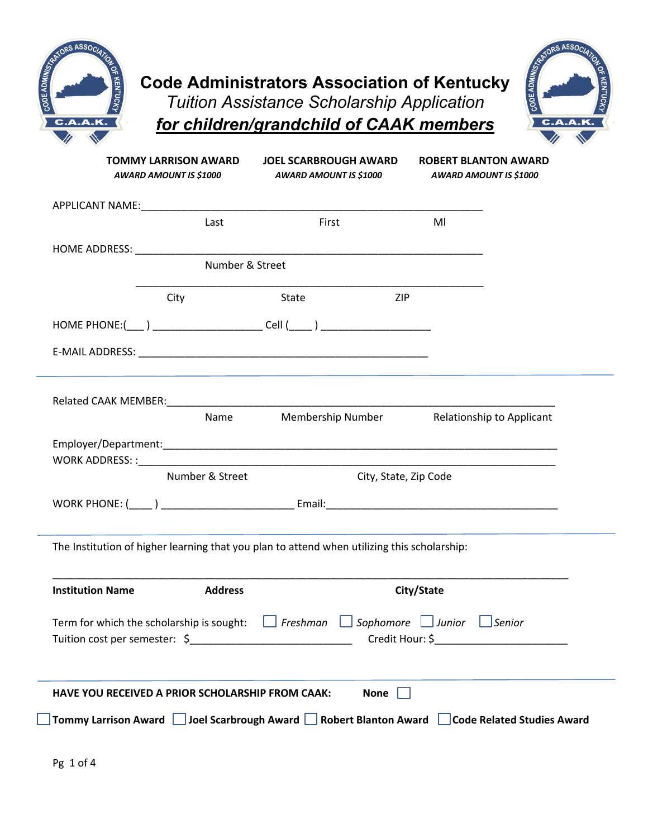



|                         | <b>TOMMY LARRISON AWARD</b><br>AWARD AMOUNT IS \$1000 | <b>JOEL SCARBROUGH AWARD</b><br>AWARD AMOUNT IS \$1000                                      | <b>ROBERT BLANTON AWARD</b><br>AWARD AMOUNT IS \$1000 |
|-------------------------|-------------------------------------------------------|---------------------------------------------------------------------------------------------|-------------------------------------------------------|
|                         |                                                       |                                                                                             |                                                       |
|                         | Last                                                  | First                                                                                       | Ml                                                    |
|                         |                                                       |                                                                                             |                                                       |
|                         | Number & Street                                       |                                                                                             |                                                       |
|                         | City                                                  | State<br>ZIP                                                                                |                                                       |
|                         |                                                       | HOME PHONE:(____ ) ____________________________Cell (_____ ) ____________________           |                                                       |
|                         |                                                       |                                                                                             |                                                       |
|                         |                                                       |                                                                                             |                                                       |
|                         |                                                       |                                                                                             |                                                       |
|                         |                                                       | Name Membership Number Relationship to Applicant                                            |                                                       |
|                         |                                                       |                                                                                             |                                                       |
|                         | Number & Street                                       | City, State, Zip Code                                                                       |                                                       |
|                         |                                                       |                                                                                             |                                                       |
|                         |                                                       |                                                                                             |                                                       |
|                         |                                                       | The Institution of higher learning that you plan to attend when utilizing this scholarship: |                                                       |
|                         |                                                       |                                                                                             |                                                       |
| <b>Institution Name</b> | <b>Address</b>                                        |                                                                                             | City/State                                            |
|                         | Term for which the scholarship is sought:             | $\Box$ Freshman $\Box$ Sophomore $\Box$ Junior $\Box$ Senior                                |                                                       |
|                         |                                                       |                                                                                             |                                                       |
|                         |                                                       |                                                                                             |                                                       |
|                         |                                                       | None $\Box$<br>HAVE YOU RECEIVED A PRIOR SCHOLARSHIP FROM CAAK:                             |                                                       |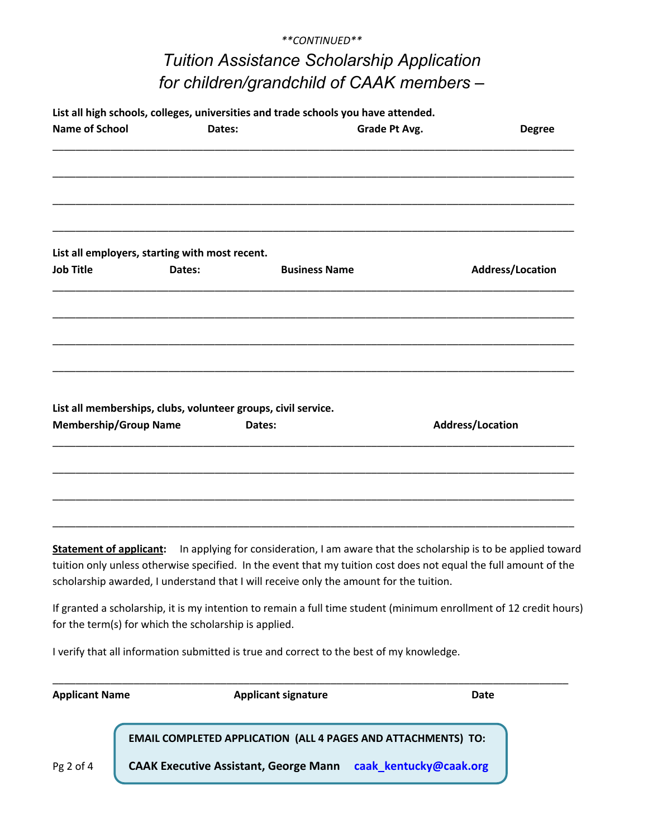## *\*\*CONTINUED\*\* Tuition Assistance Scholarship Application for children/grandchild of CAAK members –*

| <b>Name of School</b>        | Dates:                                                   | List all high schools, colleges, universities and trade schools you have attended.                               | Grade Pt Avg. | <b>Degree</b>    |
|------------------------------|----------------------------------------------------------|------------------------------------------------------------------------------------------------------------------|---------------|------------------|
|                              |                                                          |                                                                                                                  |               |                  |
|                              |                                                          |                                                                                                                  |               |                  |
| <b>Job Title</b>             | List all employers, starting with most recent.<br>Dates: | <b>Business Name</b>                                                                                             |               | Address/Location |
|                              |                                                          |                                                                                                                  |               |                  |
|                              |                                                          |                                                                                                                  |               |                  |
|                              |                                                          | List all memberships, clubs, volunteer groups, civil service.                                                    |               |                  |
| <b>Membership/Group Name</b> |                                                          | Dates:                                                                                                           |               | Address/Location |
|                              |                                                          |                                                                                                                  |               |                  |
|                              |                                                          |                                                                                                                  |               |                  |
|                              |                                                          |                                                                                                                  |               |                  |
|                              |                                                          | Statement of applicant: In applying for consideration, I am aware that the scholarship is to be applied toward   |               |                  |
|                              |                                                          | tuition only unless otherwise specified. In the event that my tuition cost does not equal the full amount of the |               |                  |
|                              |                                                          | scholarship awarded, I understand that I will receive only the amount for the tuition.                           |               |                  |

If granted a scholarship, it is my intention to remain a full time student (minimum enrollment of 12 credit hours) for the term(s) for which the scholarship is applied.

I verify that all information submitted is true and correct to the best of my knowledge.

| <b>Applicant Name</b> | <b>Applicant signature</b><br>Date                                   |  |  |
|-----------------------|----------------------------------------------------------------------|--|--|
|                       | <b>EMAIL COMPLETED APPLICATION (ALL 4 PAGES AND ATTACHMENTS) TO:</b> |  |  |
| Pg 2 of 4             | CAAK Executive Assistant, George Mann caak kentucky@caak.org         |  |  |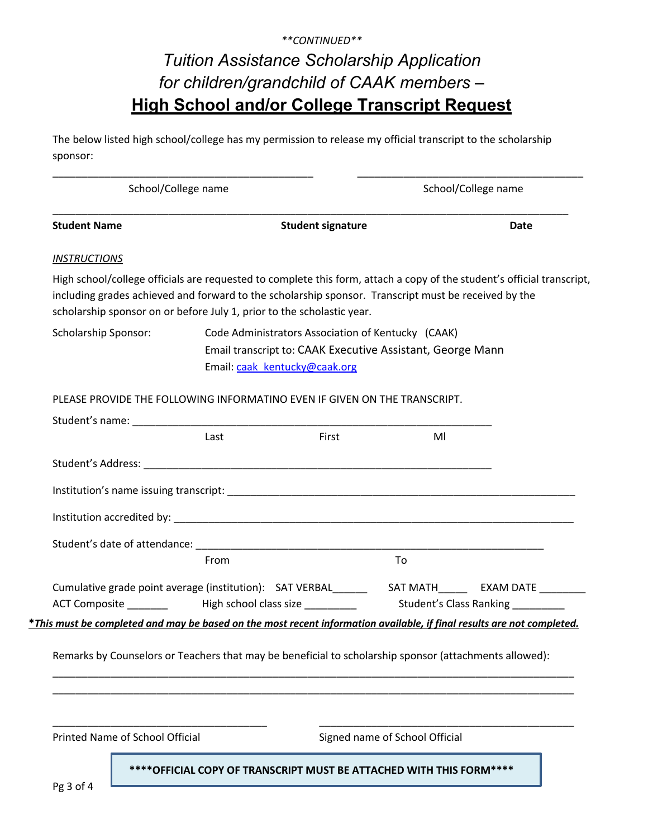## *\*\*CONTINUED\*\* Tuition Assistance Scholarship Application for children/grandchild of CAAK members –* **High School and/or College Transcript Request**

The below listed high school/college has my permission to release my official transcript to the scholarship sponsor:

| School/College name         |                                                                                                                                                                                                                                                                                                          | School/College name                                                                                              |             |  |
|-----------------------------|----------------------------------------------------------------------------------------------------------------------------------------------------------------------------------------------------------------------------------------------------------------------------------------------------------|------------------------------------------------------------------------------------------------------------------|-------------|--|
| <b>Student Name</b>         | <b>Student signature</b>                                                                                                                                                                                                                                                                                 |                                                                                                                  | <b>Date</b> |  |
| <b>INSTRUCTIONS</b>         |                                                                                                                                                                                                                                                                                                          |                                                                                                                  |             |  |
|                             | High school/college officials are requested to complete this form, attach a copy of the student's official transcript,<br>including grades achieved and forward to the scholarship sponsor. Transcript must be received by the<br>scholarship sponsor on or before July 1, prior to the scholastic year. |                                                                                                                  |             |  |
| <b>Scholarship Sponsor:</b> | Email: caak kentucky@caak.org                                                                                                                                                                                                                                                                            | Code Administrators Association of Kentucky (CAAK)<br>Email transcript to: CAAK Executive Assistant, George Mann |             |  |
|                             | PLEASE PROVIDE THE FOLLOWING INFORMATINO EVEN IF GIVEN ON THE TRANSCRIPT.                                                                                                                                                                                                                                |                                                                                                                  |             |  |
|                             |                                                                                                                                                                                                                                                                                                          |                                                                                                                  |             |  |
|                             | First<br>Last                                                                                                                                                                                                                                                                                            | MI                                                                                                               |             |  |
|                             |                                                                                                                                                                                                                                                                                                          |                                                                                                                  |             |  |
|                             |                                                                                                                                                                                                                                                                                                          |                                                                                                                  |             |  |
|                             |                                                                                                                                                                                                                                                                                                          |                                                                                                                  |             |  |
|                             |                                                                                                                                                                                                                                                                                                          |                                                                                                                  |             |  |
|                             | From                                                                                                                                                                                                                                                                                                     | To                                                                                                               |             |  |
|                             | ACT Composite __________   High school class size ____________   Student's Class Ranking __________                                                                                                                                                                                                      |                                                                                                                  |             |  |
|                             | *This must be completed and may be based on the most recent information available, if final results are not completed.                                                                                                                                                                                   |                                                                                                                  |             |  |
|                             |                                                                                                                                                                                                                                                                                                          |                                                                                                                  |             |  |
|                             | Remarks by Counselors or Teachers that may be beneficial to scholarship sponsor (attachments allowed):                                                                                                                                                                                                   |                                                                                                                  |             |  |
|                             |                                                                                                                                                                                                                                                                                                          |                                                                                                                  |             |  |
|                             |                                                                                                                                                                                                                                                                                                          |                                                                                                                  |             |  |
|                             |                                                                                                                                                                                                                                                                                                          |                                                                                                                  |             |  |

Pg 3 of 4